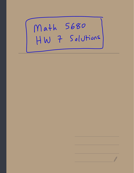## Math 5680<br>HW 7 Solutions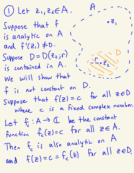① Let Zi ,  $z_2 \in A$ .  $A$ -  $\sim$ ,  $\begin{pmatrix} 1 & 1 \\ 1 & 1 \\ 1 & 1 \end{pmatrix}$  $\overline{z}$  ,  $Suppose that f$ ,  $i, a, a, b, b, c, o, A$ is analytic on <sup>A</sup> <sup>1</sup> <sup>I</sup>  $\sim$  , and the set of  $\sim$ and  $f'(z_i) \neq 0$ . i Suppose  $D=D(z_{2};r)$  $-$  D  $1$ s analytic on it<br>and  $f'(z_1) \neq 0$ .<br>Suppose  $D = D(z_2; r)$ <br>is contained in A. is contained in A. (1962) f- is not constant on  $\overline{\mathsf{D}}$  . Suppose that  $f(z) = c$ for all  $z \in D$ where <sup>c</sup> is <sup>a</sup> fixed complex number. Let  $f_c: A \to C$  be the constant function  $f_c(z)=c$  for all  $z\in A$ . Then f is also analytic on A and  $f(z)=c=f_{c}(z)$  for all zeD.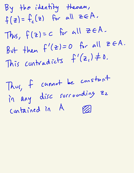By the identity theorem ,  $f(z) = f_c(z)$  for all zeA.  $= c$  for all  $\geq \epsilon A$ . Thus,  $f(z)$  =  $(z)=0$  for all  $z \in A$ . But then  $f'$ But then  $T^{\prime\prime}$   $\epsilon$ ,  $\epsilon$ ,  $\epsilon$ ,  $\epsilon$ ,  $\epsilon$ ,  $\epsilon$ ,  $\epsilon$ ,  $\epsilon$ ,  $\epsilon$ ,  $\epsilon$ ,  $\epsilon$ ,  $\epsilon$ ,  $\epsilon$ ,  $\epsilon$ ,  $\epsilon$ ,  $\epsilon$ ,  $\epsilon$ ,  $\epsilon$ ,  $\epsilon$ ,  $\epsilon$ ,  $\epsilon$ ,  $\epsilon$ ,  $\epsilon$ ,  $\epsilon$ ,  $\epsilon$ ,  $\epsilon$ ,  $\epsilon$ ,  $\epsilon$ ,  $\epsilon$ ,  $\epsilon$ ,  $\epsilon$ ,  $\epsilon$ ,  $\epsilon$ ,  $\epsilon$ f cannot be constant  $[h\omega\zeta]$ disc surrounding Zz in any contained in A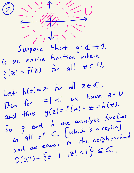$\odot$ =<br>-<br>/ -<br>/ -<br>/ - $Suppose$  that  $g: C \rightarrow C$ is an Il<br>entire function where  $g(z) = f(z)$  for all  $z \in U$ . Let  $h(z)=z$  for all  $z\in\mathbb{C}$ . Then for  $|z| < 1$  we have  $z \in U$ and thus  $g(z)=f(z)=z=h(z)$ .  $\int$  $\sigma$ g and h are analytic functions g and h are analytic them<br>all of  $\left[\begin{array}{c} \text{which is a region} \\ \text{which is a region} \end{array}\right]$ and are equal in the neighborhood  $D(0,1)=\{z \mid |z|<1\} \subseteq \mathbb{C}.$